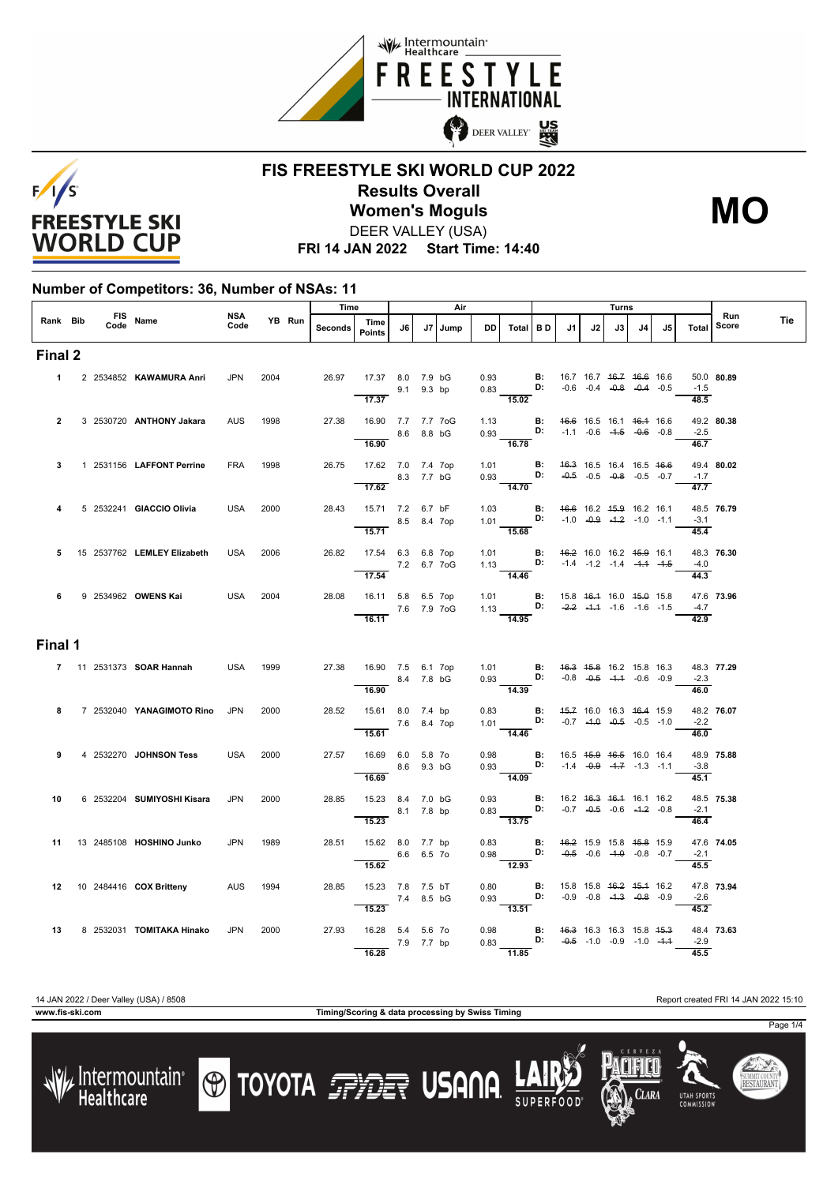



## **FIS FREESTYLE SKI WORLD CUP 2022 Results Overall** DEER VALLEY (USA) **Women's Moguls MO**

**FRI 14 JAN 2022 Start Time: 14:40**

#### **Number of Competitors: 36, Number of NSAs: 11**

|                |  |      |                                 |             |      | YB Run | Time           |                                                                 |             | Air     |      |                                                                                                                                 |                                    |                                                |    | <b>Turns</b>                                                   |    |                                    |                             | Run        |     |
|----------------|--|------|---------------------------------|-------------|------|--------|----------------|-----------------------------------------------------------------|-------------|---------|------|---------------------------------------------------------------------------------------------------------------------------------|------------------------------------|------------------------------------------------|----|----------------------------------------------------------------|----|------------------------------------|-----------------------------|------------|-----|
| Rank Bib       |  | Code | FIS Name                        | NSA<br>Code |      |        | <b>Seconds</b> | Time<br><b>Points</b>                                           | J6          | J7 Jump | DD   | Total BD                                                                                                                        |                                    | J1                                             | J2 | J3                                                             | J4 | J5                                 | Total                       | Score      | Tie |
| Final 2        |  |      |                                 |             |      |        |                |                                                                 |             |         |      |                                                                                                                                 |                                    |                                                |    |                                                                |    |                                    |                             |            |     |
|                |  |      | 1 2 2534852 KAWAMURA Anri       | <b>JPN</b>  | 2004 |        | 26.97          | 17.37 8.0 7.9 bG<br>$\overline{17.37}$                          | 9.1 9.3 bp  |         |      | 0.93 <b>B:</b><br>0.83 <b>D:</b><br>15.02                                                                                       |                                    | 16.7 16.7 <del>16.7</del> <del>16.6</del> 16.6 |    |                                                                |    | $-0.6$ $-0.4$ $-0.8$ $-0.4$ $-0.5$ | $-1.5$<br>48.5              | 50.0 80.89 |     |
| $\overline{2}$ |  |      | 3 2530720 ANTHONY Jakara        | <b>AUS</b>  | 1998 |        | 27.38          | 16.90 7.7 7.7 7oG<br>16.90                                      | 8.6 8.8 bG  |         |      | 1.13 <b>B:</b> $\frac{46.6}{10.93}$ 16.5 16.1 16.4 16.6 0.93 <b>D:</b> -1.1 -0.6 -1.5 -0.6 -0.8<br>16.78                        |                                    |                                                |    |                                                                |    |                                    | $-2.5$<br>$\frac{1}{46.7}$  | 49.2 80.38 |     |
| 3              |  |      | 1 2531156 LAFFONT Perrine       | <b>FRA</b>  | 1998 |        | 26.75          | 17.62 7.0 7.4 7op<br>17.62                                      | 8.3 7.7 bG  |         |      | 1.01 <b>B:</b><br>0.93 <b>D:</b><br>$\frac{0.55}{14.70}$                                                                        |                                    |                                                |    | 46.3 16.5 16.4 16.5 46.6<br>$-0.5$ $-0.5$ $-0.8$ $-0.5$ $-0.7$ |    |                                    | $-1.7$<br>47.7              | 49.4 80.02 |     |
| 4              |  |      | 5 2532241 GIACCIO Olivia        | <b>USA</b>  | 2000 |        |                | 28.43  15.71  7.2  6.7 bF<br>15.71                              | 8.5 8.4 7op |         |      | 1.03 <b>B:</b> 4 <del>6.6</del> 16.2 45.9 16.2 16.1<br>1.01 <b>D:</b> -1.0 -0.9 -1.2 -1.0 -1.1<br>15.68                         |                                    |                                                |    |                                                                |    |                                    | $-3.1$<br>45.4              | 48.5 76.79 |     |
| 5              |  |      | 15 2537762 LEMLEY Elizabeth     | <b>USA</b>  | 2006 |        | 26.82          | 17.54 6.3 6.8 7op<br>7.2 6.7 7 oG<br>17.54                      |             |         |      | 1.01 <b>B:</b><br>1.13 <b>D:</b><br>$\overline{14.46}$                                                                          |                                    | 46.2 16.0 16.2 45.9 16.1                       |    | $-1.4$ $-1.2$ $-1.4$ $-4.4$ $-4.5$                             |    |                                    | $-4.0$<br>44.3              | 48.3 76.30 |     |
| $6 -$          |  |      | 9 2534962 OWENS Kai             | USA         | 2004 |        |                | 28.08  16.11  5.8  6.5  7op<br>7.6 7.9 7oG<br>$\frac{16.11}{2}$ |             |         |      | 1.01 <b>B</b> : 15.8 46.4 16.0 45.0 15.8<br>1.13 <b>D:</b> -2.2 -4.4 -1.6 -1.6 -1.5<br>$\frac{1}{14.95}$                        |                                    |                                                |    |                                                                |    |                                    | $-4.7$<br>42.9              | 47.6 73.96 |     |
| Final 1        |  |      |                                 |             |      |        |                |                                                                 |             |         |      |                                                                                                                                 |                                    |                                                |    |                                                                |    |                                    |                             |            |     |
|                |  |      | 7 11 2531373 <b>SOAR Hannah</b> | USA         | 1999 |        |                | 27.38  16.90  7.5  6.1  7op<br>16.90                            | 8.4 7.8 bG  |         |      | 1.01 <b>B</b> : 4 <del>6.3</del> 45.8 16.2 15.8 16.3<br>0.93 <b>D:</b> -0.8 -0.5 -1.4 -0.6 -0.9<br>$\overline{14.39}$           |                                    |                                                |    |                                                                |    |                                    | $-2.3$<br>46.0              | 48.3 77.29 |     |
| 8              |  |      | 7 2532040 YANAGIMOTO Rino       | <b>JPN</b>  | 2000 |        | 28.52          | 15.61 8.0 7.4 bp<br>15.61                                       | 7.6 8.4 7op |         |      | 0.83 <b>B:</b> 4 <del>5.7</del> 16.0 16.3 4 <del>6.4</del> 15.9<br>1.01 <b>D:</b> -0.7 -4.0 -0.5 -0.5 -1.0<br>$\frac{1}{14.46}$ |                                    |                                                |    |                                                                |    |                                    | $-2.2$<br>46.0              | 48.2 76.07 |     |
| 9              |  |      | 4 2532270 JOHNSON Tess          | <b>USA</b>  | 2000 |        | 27.57          | 16.69 6.0 5.8 7o<br>16.69                                       | 8.6 9.3 bG  |         |      | 0.98 <b>B</b> : 16.5 4 <del>5.9</del> 46.5 16.0 16.4<br>0.93 <b>D:</b> -1.4 -0.9 -4.7 -1.3 -1.1<br>$\overline{14.09}$           |                                    |                                                |    |                                                                |    |                                    | $-3.8$<br>45.1              | 48.9 75.88 |     |
| 10             |  |      | 6 2532204 SUMIYOSHI Kisara      | <b>JPN</b>  | 2000 |        | 28.85          | 15.23 8.4 7.0 bG<br>15.23                                       | 8.1 7.8 bp  |         |      | $0.93$ <b>B:</b><br>0.83 <b>D:</b><br>$\frac{1}{13.75}$                                                                         |                                    |                                                |    | 16.2 46.3 46.4 16.1 16.2<br>$-0.7$ $-0.5$ $-0.6$ $-4.2$ $-0.8$ |    |                                    | $-2.1$<br>46.4              | 48.5 75.38 |     |
| 11             |  |      | 13 2485108 HOSHINO Junko        | <b>JPN</b>  | 1989 |        | 28.51          | 15.62 8.0 7.7 bp<br>15.62                                       | 6.6 6.5 70  |         |      | 0.83<br><b>B:</b> $46.2$ 15.9 15.8 45.8 15.9<br>0.98<br><b>D:</b> $-0.5$ -0.6 -1.0 -0.8 -0.7<br>12.93                           |                                    |                                                |    |                                                                |    |                                    | $-2.1$<br>45.5              | 47.6 74.05 |     |
|                |  |      | 12 10 2484416 COX Britteny      | AUS         | 1994 |        | 28.85          | 15.23 7.8 7.5 bT<br>15.23                                       | 7.4 8.5 bG  |         |      | 0.80 <b>B</b> : 15.8 15.8 <del>16.2</del> 15.4 16.2<br>0.93 <b>D:</b> -0.9 -0.8 -1.3 -0.8 -0.9<br>13.51                         |                                    |                                                |    |                                                                |    |                                    | $-2.6$<br>$\overline{45.2}$ | 47.8 73.94 |     |
| 13             |  |      | 8 2532031 TOMITAKA Hinako JPN   |             | 2000 |        |                | 27.93  16.28  5.4  5.6  7o<br>16.28                             | 7.9 7.7 bp  |         | 0.98 | $0.83$ D:<br>11.85                                                                                                              | <b>B:</b> 46.3 16.3 16.3 15.8 45.3 |                                                |    | $-0.5$ $-1.0$ $-0.9$ $-1.0$ $-4.4$                             |    |                                    | $-2.9$<br>45.5              | 48.4 73.63 |     |

14 JAN 2022 / Deer Valley (USA) / 8508 Report created FRI 14 JAN 2022 15:10

/ Intermountain<sup>®</sup><br>Healthcare

**www.fis-ski.com Timing/Scoring & data processing by Swiss Timing**











Page 1/4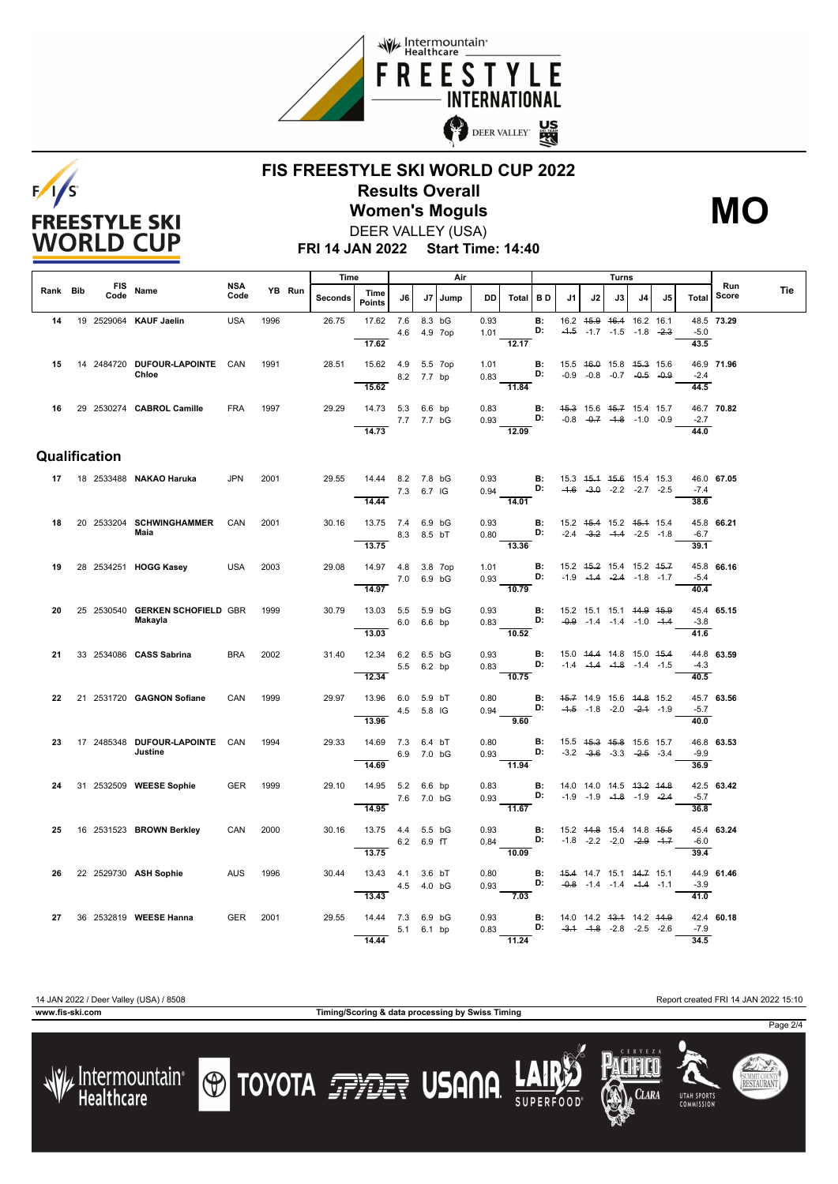



### **FIS FREESTYLE SKI WORLD CUP 2022 Results Overall** DEER VALLEY (USA) **Women's Moguls MO**

**FRI 14 JAN 2022 Start Time: 14:40**

|          |               |                                            |                    |      |        | Time    |                             |     |                         | Air  |              |                                                                        |                 |                                               |                                                                           | Turns |    |    |                            |              |     |
|----------|---------------|--------------------------------------------|--------------------|------|--------|---------|-----------------------------|-----|-------------------------|------|--------------|------------------------------------------------------------------------|-----------------|-----------------------------------------------|---------------------------------------------------------------------------|-------|----|----|----------------------------|--------------|-----|
| Rank Bib | Code          | FIS Name                                   | <b>NSA</b><br>Code |      | YB Run | Seconds | Time<br><b>Points</b>       | J6  | J7                      | Jump | DD           | Total   BD                                                             |                 | J1                                            | J2                                                                        | J3    | J4 | J5 | Total                      | Run<br>Score | Tie |
| 14       |               | 19 2529064 KAUF Jaelin                     | <b>USA</b>         | 1996 |        | 26.75   | 17.62 7.6<br>17.62          |     | 8.3 bG<br>4.6  4.9  7op |      | 0.93<br>1.01 | 12.17                                                                  | <b>B:</b><br>D: |                                               | 16.2 45.9 46.4 16.2 16.1<br>$-4.5$ $-1.7$ $-1.5$ $-1.8$ $-2.3$            |       |    |    | $-5.0$<br>43.5             | 48.5 73.29   |     |
| 15       |               | 14 2484720 DUFOUR LAPOINTE CAN<br>Chloe    |                    | 1991 |        | 28.51   | 15.62 4.9 5.5 7op           |     |                         |      | 1.01<br>0.83 | D:                                                                     | B:              |                                               | 15.5 46.0 15.8 45.3 15.6<br>$-0.9$ $-0.8$ $-0.7$ $-0.5$ $-0.9$            |       |    |    | $-2.4$                     | 46.9 71.96   |     |
|          |               |                                            |                    |      |        |         | 15.62                       |     | 8.2 7.7 bp              |      |              | 11.84                                                                  |                 |                                               |                                                                           |       |    |    | 44.5                       |              |     |
| 16       |               | 29 2530274 CABROL Camille                  | <b>FRA</b>         | 1997 |        | 29.29   | 14.73 5.3 6.6 bp            |     | 7.7 7.7 bG              |      | 0.83<br>0.93 | B:<br>D:                                                               |                 |                                               | 45.3 15.6 45.7 15.4 15.7<br>$-0.8$ $-0.7$ $-4.8$ $-1.0$ $-0.9$            |       |    |    | $-2.7$                     | 46.7 70.82   |     |
|          |               |                                            |                    |      |        |         | 14.73                       |     |                         |      |              | $\frac{12.09}{ }$                                                      |                 |                                               |                                                                           |       |    |    | 44.0                       |              |     |
|          | Qualification |                                            |                    |      |        |         |                             |     |                         |      |              |                                                                        |                 |                                               |                                                                           |       |    |    |                            |              |     |
|          |               | 17 18 2533488 NAKAO Haruka                 | <b>JPN</b>         | 2001 |        | 29.55   | 14.44 8.2 7.8 bG<br>14.44   |     | 7.3 6.7 IG              |      | 0.93<br>0.94 | $\overline{14.01}$                                                     | <b>B:</b><br>D: |                                               | 15.3 45.4 45.6 15.4 15.3<br>$-4.6$ $-3.0$ $-2.2$ $-2.7$ $-2.5$            |       |    |    | $-7.4$<br>38.6             | 46.0 67.05   |     |
| 18       |               | 20 2533204 SCHWINGHAMMER                   | CAN                | 2001 |        | 30.16   | 13.75 7.4 6.9 bG            |     |                         |      | 0.93         |                                                                        |                 | <b>B:</b> 15.2 45.4 15.2 45.4 15.4            |                                                                           |       |    |    |                            | 45.8 66.21   |     |
|          |               | Maia                                       |                    |      |        |         | 8.3 8.5 bT<br>13.75         |     |                         |      |              | 0.80 <b>D:</b> $-2.4$ $-3.2$ $-4.4$ $-2.5$ $-1.8$<br>$\frac{1}{13.36}$ |                 |                                               |                                                                           |       |    |    | $-6.7$<br>39.1             |              |     |
| 19       |               | 28 2534251 HOGG Kasey                      | <b>USA</b>         | 2003 |        | 29.08   | 14.97 4.8<br>14.97          | 7.0 | 3.8 7op<br>6.9 bG       |      | 1.01<br>0.93 | D:<br>$\frac{1}{10.79}$                                                | B:              |                                               | 15.2 45.2 15.4 15.2 45.7<br>$-1.9$ $-1.4$ $-2.4$ $-1.8$ $-1.7$            |       |    |    | $-5.4$<br>40.4             | 45.8 66.16   |     |
| 20       |               | 25 2530540 GERKEN SCHOFIELD GBR<br>Makayla |                    | 1999 |        | 30.79   | 13.03 5.5 5.9 bG            |     | 6.0 6.6 bp              |      | 0.93         | $0.83$ D:                                                              | B:              | $-0.9$ $-1.4$ $-1.4$ $-1.0$ $-1.4$            | 15.2 15.1 15.1 44.9 45.9                                                  |       |    |    | $-3.8$                     | 45.4 65.15   |     |
| 21       |               | 33 2534086 CASS Sabrina                    | <b>BRA</b>         | 2002 |        | 31.40   | 13.03<br>12.34 6.2 6.5 bG   |     |                         |      | 0.93         | $-10.52$                                                               | B:              |                                               | 15.0 44.4 14.8 15.0 45.4                                                  |       |    |    | 41.6                       | 44.8 63.59   |     |
|          |               |                                            |                    |      |        |         | 12.34                       |     | 5.5 6.2 bp              |      | 0.83         | D:<br>10.75                                                            |                 |                                               | $-1.4$ $-4.4$ $-4.8$ $-1.4$ $-1.5$                                        |       |    |    | $-4.3$<br>40.5             |              |     |
| 22       |               | 21 2531720 GAGNON Sofiane                  | CAN                | 1999 |        | 29.97   | 13.96 6.0 5.9 bT<br>13.96   |     | 4.5 5.8 IG              |      | 0.80<br>0.94 | 9.60                                                                   | B:<br>D:        | 45.7 14.9 15.6 44.8 15.2                      | $-4.5$ $-1.8$ $-2.0$ $-2.4$ $-1.9$                                        |       |    |    | $-5.7$<br>$\frac{1}{40.0}$ | 45.7 63.56   |     |
| 23       |               | 17 2485348 DUFOUR LAPOINTE CAN<br>Justine  |                    | 1994 |        | 29.33   | 14.69 7.3 6.4 bT            |     | 6.9 7.0 bG              |      | 0.80<br>0.93 | D:                                                                     | B:              |                                               | 15.5 <del>15.3 15.8</del> 15.6 15.7<br>$-3.2$ $-3.6$ $-3.3$ $-2.5$ $-3.4$ |       |    |    | $-9.9$                     | 46.8 63.53   |     |
| 24       |               | 31 2532509 WEESE Sophie                    | <b>GER</b>         | 1999 |        | 29.10   | 14.69<br>14.95 5.2 6.6 bp   |     | 7.6 7.0 bG              |      | 0.83<br>0.93 | $\overline{11.94}$<br>B:<br>D:                                         |                 |                                               | 14.0 14.0 14.5 <del>13.2</del> 14.8<br>$-1.9$ $-1.9$ $-4.8$ $-1.9$ $-2.4$ |       |    |    | 36.9<br>$-5.7$             | 42.5 63.42   |     |
|          |               |                                            |                    |      |        |         | 14.95                       |     |                         |      |              | $\frac{1}{11.67}$                                                      |                 |                                               |                                                                           |       |    |    | 36.8                       |              |     |
| 25       |               | 16 2531523 BROWN Berkley                   | CAN                | 2000 |        | 30.16   | 13.75  4.4  5.5 bG          |     | 6.2 6.9 fT              |      | 0.93<br>0.84 | <b>D:</b> $-1.8$ $-2.2$ $-2.0$ $-2.9$ $-1.7$                           |                 | <b>B:</b> 15.2 44.8 15.4 14.8 45.5            |                                                                           |       |    |    | $-6.0$                     | 45.4 63.24   |     |
| 26       |               | 22 2529730 ASH Sophie                      | <b>AUS</b>         | 1996 |        | 30.44   | 13.75<br>13.43  4.1  3.6 bT |     |                         |      | 0.80         | $-10.09$                                                               | <b>B:</b><br>D: |                                               | 45.4 14.7 15.1 44.7 15.1                                                  |       |    |    | 39.4                       | 44.9 61.46   |     |
|          |               |                                            |                    |      |        |         | 13.43                       |     | 4.5 4.0 bG              |      | 0.93         | 7.03                                                                   |                 |                                               | $-0.8$ $-1.4$ $-1.4$ $-4.4$ $-1.1$                                        |       |    |    | $-3.9$<br>$\frac{41.0}{2}$ |              |     |
| 27       |               | 36 2532819 WEESE Hanna                     | <b>GER</b>         | 2001 |        | 29.55   | 14.44 7.3 6.9 bG            |     | 5.1 6.1 bp              |      | 0.93<br>0.83 | <b>D:</b> $-3.4$ $-4.8$ $-2.8$ $-2.5$ $-2.6$                           |                 | <b>B:</b> 14.0 14.2 <del>13.1</del> 14.2 44.9 |                                                                           |       |    |    | $-7.9$                     | 42.4 60.18   |     |
|          |               |                                            |                    |      |        |         | 14.44                       |     |                         |      |              | 11.24                                                                  |                 |                                               |                                                                           |       |    |    | 34.5                       |              |     |

/ Intermountain<br>Healthcare

**www.fis-ski.com Timing/Scoring & data processing by Swiss Timing**

**O TOYOTA FRIET USANA** 

14 JAN 2022 / Deer Valley (USA) / 8508 Report created FRI 14 JAN 2022 15:10

**CLARA** 

**UTAH SPORT** 

Page 2/4

SUMMIT COUNTY<br>**RESTAURANT** 

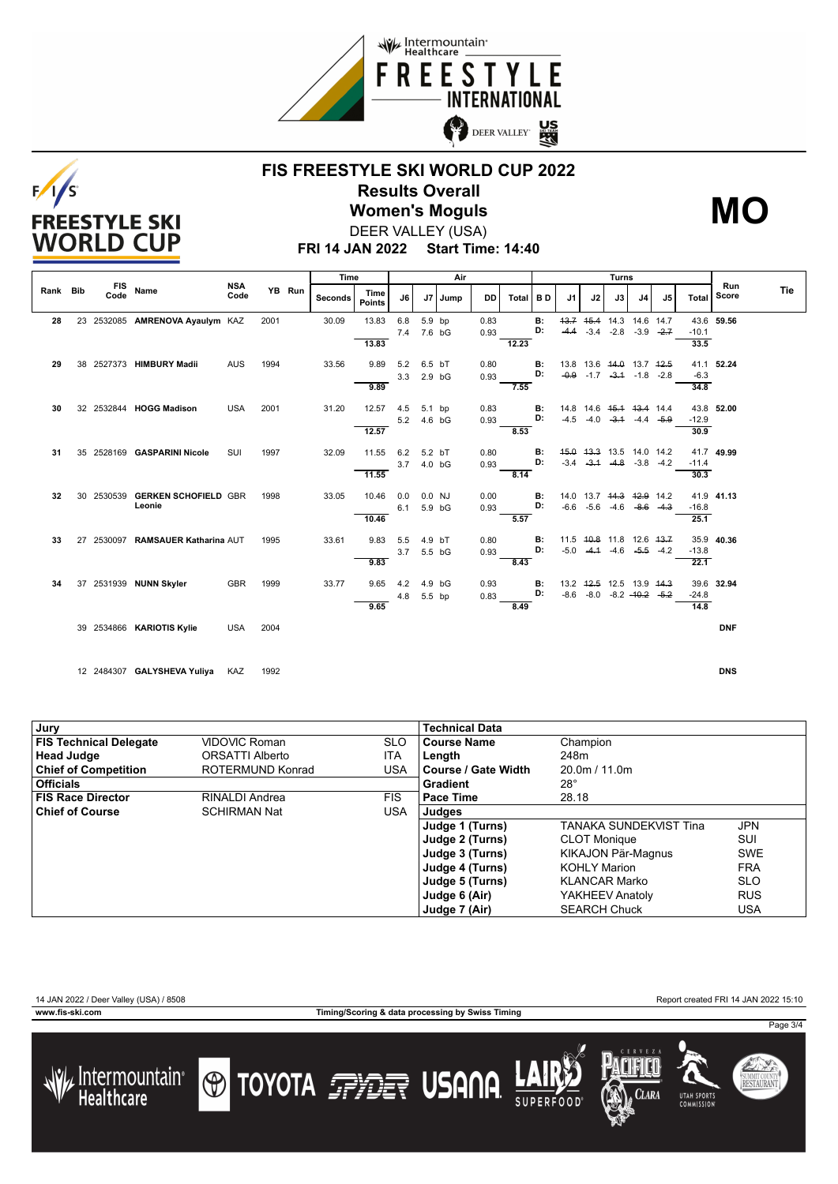



# **FIS FREESTYLE SKI WORLD CUP 2022 Results Overall Women's Moguls MO**



**FRI 14 JAN 2022 Start Time: 14:40** DEER VALLEY (USA)

|          |                    |                                       |                    |      |        | Time    |                       |            |                  | Air  |              |          |          |                |                                                                    | Turns                       |                |              |         |              |     |
|----------|--------------------|---------------------------------------|--------------------|------|--------|---------|-----------------------|------------|------------------|------|--------------|----------|----------|----------------|--------------------------------------------------------------------|-----------------------------|----------------|--------------|---------|--------------|-----|
| Rank Bib | <b>FIS</b><br>Code | Name                                  | <b>NSA</b><br>Code |      | YB Run | Seconds | Time<br><b>Points</b> | J6         | J7               | Jump | DD           | Total BD |          | J <sub>1</sub> | J2                                                                 | J3                          | J <sub>4</sub> | J5           | Total   | Run<br>Score | Tie |
| 28       |                    | 23 2532085 AMRENOVA Ayaulym KAZ       |                    | 2001 |        | 30.09   | 13.83                 | 6.8<br>7.4 | 5.9 bp<br>7.6 bG |      | 0.83<br>0.93 |          | В:<br>D: | $-4.4$         | 43.7 45.4 14.3 14.6 14.7<br>$-3.4$                                 | $-2.8$                      | $-3.9$         | $-2.7$       | $-10.1$ | 43.6 59.56   |     |
|          |                    |                                       |                    |      |        |         | 13.83                 |            |                  |      |              | 12.23    |          |                |                                                                    |                             |                |              | 33.5    |              |     |
| 29       |                    | 38 2527373 HIMBURY Madii              | <b>AUS</b>         | 1994 |        | 33.56   | 9.89                  | 5.2<br>3.3 | 6.5 bT<br>2.9 bG |      | 0.80<br>0.93 |          | В:<br>D: |                | 13.8 13.6 44.0 13.7 42.5<br>$-0.9$ $-1.7$ $-3.4$ $-1.8$ $-2.8$     |                             |                |              | $-6.3$  | 41.1 52.24   |     |
|          |                    |                                       |                    |      |        |         | 9.89                  |            |                  |      |              | 7.55     |          |                |                                                                    |                             |                |              | 34.8    |              |     |
| 30       |                    | 32 2532844 HOGG Madison               | <b>USA</b>         | 2001 |        | 31.20   | 12.57                 | 4.5<br>5.2 | 5.1 bp<br>4.6 bG |      | 0.83<br>0.93 |          | В:<br>D: | $-4.5$         | 14.8 14.6 <del>15.1 13.4</del> 14.4                                | $-4.0$ $-3.4$ $-4.4$ $-5.9$ |                |              | $-12.9$ | 43.8 52.00   |     |
|          |                    |                                       |                    |      |        |         | 12.57                 |            |                  |      |              | 8.53     |          |                |                                                                    |                             |                |              | 30.9    |              |     |
| 31       |                    | 35 2528169 GASPARINI Nicole           | SUI                | 1997 |        | 32.09   | 11.55                 | 6.2        | 5.2 bT           |      | 0.80         |          | В:<br>D: | $-3.4$         | 45.0 43.3 13.5 14.0 14.2                                           | $-3.1$ $-4.8$               | $-3.8 - 4.2$   |              | $-11.4$ | 41.7 49.99   |     |
|          |                    |                                       |                    |      |        |         | 11.55                 | 3.7        | 4.0 bG           |      | 0.93         | 8.14     |          |                |                                                                    |                             |                |              | 30.3    |              |     |
| 32       | 30 2530539         | <b>GERKEN SCHOFIELD GBR</b><br>Leonie |                    | 1998 |        | 33.05   | 10.46                 | 0.0        | 0.0 NJ<br>5.9 bG |      | 0.00         |          | В:<br>D: |                | 14.0 13.7 <del>14.3</del> <del>12.9</del> 14.2<br>$-6.6 -5.6 -4.6$ |                             | $-8.6$ $-4.3$  |              | $-16.8$ | 41.9 41.13   |     |
|          |                    |                                       |                    |      |        |         | 10.46                 | 6.1        |                  |      | 0.93         | 5.57     |          |                |                                                                    |                             |                |              | 25.1    |              |     |
| 33       |                    | 27 2530097 RAMSAUER Katharina AUT     |                    | 1995 |        | 33.61   | 9.83                  | 5.5<br>3.7 | 4.9 bT<br>5.5 bG |      | 0.80<br>0.93 |          | В:<br>D: | $-5.0$         | 11.5 40.8 11.8 12.6 43.7<br>$-4.1$                                 | $-4.6$                      |                | $-5.5 - 4.2$ | $-13.8$ | 35.9 40.36   |     |
|          |                    |                                       |                    |      |        |         | 9.83                  |            |                  |      |              | 8.43     |          |                |                                                                    |                             |                |              | 22.1    |              |     |
| 34       |                    | 37 2531939 NUNN Skyler                | <b>GBR</b>         | 1999 |        | 33.77   | 9.65                  | 4.2        | 4.9 bG           |      | 0.93         |          | В:<br>D: |                | 13.2 42.5 12.5 13.9 44.3<br>$-8.6$ $-8.0$ $-8.2$ $-40.2$ $-5.2$    |                             |                |              | $-24.8$ | 39.6 32.94   |     |
|          |                    |                                       |                    |      |        |         | 9.65                  | 4.8        | 5.5 bp           |      | 0.83         | 8.49     |          |                |                                                                    |                             |                |              | 14.8    |              |     |
|          |                    | 39 2534866 KARIOTIS Kylie             | <b>USA</b>         | 2004 |        |         |                       |            |                  |      |              |          |          |                |                                                                    |                             |                |              |         | <b>DNF</b>   |     |
|          |                    |                                       |                    |      |        |         |                       |            |                  |      |              |          |          |                |                                                                    |                             |                |              |         |              |     |
|          |                    | 12 2484307 GALYSHEVA Yuliya           | KAZ                | 1992 |        |         |                       |            |                  |      |              |          |          |                |                                                                    |                             |                |              |         | <b>DNS</b>   |     |

| ۰. | ł<br>$\sim$ |  |
|----|-------------|--|
|    |             |  |

| Jury                          |                      |            | <b>Technical Data</b> |                               |            |
|-------------------------------|----------------------|------------|-----------------------|-------------------------------|------------|
| <b>FIS Technical Delegate</b> | <b>VIDOVIC Roman</b> | <b>SLO</b> | <b>Course Name</b>    | Champion                      |            |
| <b>Head Judge</b>             | ORSATTI Alberto      | <b>ITA</b> | Length                | 248m                          |            |
| <b>Chief of Competition</b>   | ROTERMUND Konrad     | USA        | Course / Gate Width   | 20.0m / 11.0m                 |            |
| <b>Officials</b>              |                      |            | Gradient              | $28^{\circ}$                  |            |
| <b>FIS Race Director</b>      | RINALDI Andrea       | <b>FIS</b> | Pace Time             | 28.18                         |            |
| <b>Chief of Course</b>        | <b>SCHIRMAN Nat</b>  | USA        | Judges                |                               |            |
|                               |                      |            | Judge 1 (Turns)       | <b>TANAKA SUNDEKVIST Tina</b> | <b>JPN</b> |
|                               |                      |            | Judge 2 (Turns)       | <b>CLOT Monique</b>           | SUI        |
|                               |                      |            | Judge 3 (Turns)       | KIKAJON Pär-Magnus            | <b>SWE</b> |
|                               |                      |            | Judge 4 (Turns)       | <b>KOHLY Marion</b>           | <b>FRA</b> |
|                               |                      |            | Judge 5 (Turns)       | <b>KLANCAR Marko</b>          | <b>SLO</b> |
|                               |                      |            | Judge 6 (Air)         | YAKHEEV Anatoly               | <b>RUS</b> |
|                               |                      |            | Judge 7 (Air)         | <b>SEARCH Chuck</b>           | USA        |